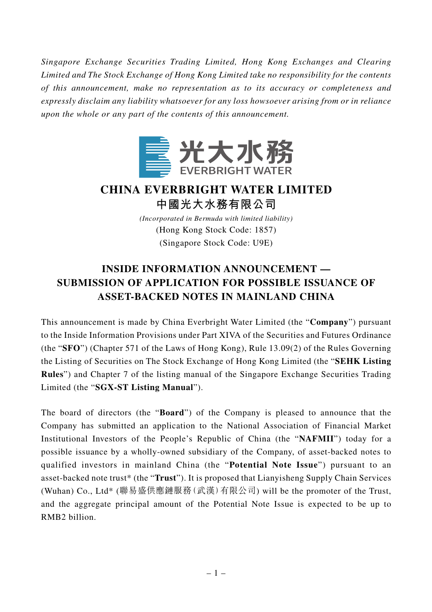*Singapore Exchange Securities Trading Limited, Hong Kong Exchanges and Clearing Limited and The Stock Exchange of Hong Kong Limited take no responsibility for the contents of this announcement, make no representation as to its accuracy or completeness and expressly disclaim any liability whatsoever for any loss howsoever arising from or in reliance upon the whole or any part of the contents of this announcement.*



## **CHINA EVERBRIGHT WATER LIMITED 中國光大水務有限公司**

*(Incorporated in Bermuda with limited liability)* (Hong Kong Stock Code: 1857) (Singapore Stock Code: U9E)

## **INSIDE INFORMATION ANNOUNCEMENT — SUBMISSION OF APPLICATION FOR POSSIBLE ISSUANCE OF ASSET-BACKED NOTES IN MAINLAND CHINA**

This announcement is made by China Everbright Water Limited (the "**Company**") pursuant to the Inside Information Provisions under Part XIVA of the Securities and Futures Ordinance (the "**SFO**") (Chapter 571 of the Laws of Hong Kong), Rule 13.09(2) of the Rules Governing the Listing of Securities on The Stock Exchange of Hong Kong Limited (the "**SEHK Listing Rules**") and Chapter 7 of the listing manual of the Singapore Exchange Securities Trading Limited (the "**SGX-ST Listing Manual**").

The board of directors (the "**Board**") of the Company is pleased to announce that the Company has submitted an application to the National Association of Financial Market Institutional Investors of the People's Republic of China (the "**NAFMII**") today for a possible issuance by a wholly-owned subsidiary of the Company, of asset-backed notes to qualified investors in mainland China (the "**Potential Note Issue**") pursuant to an asset-backed note trust\* (the "**Trust**"). It is proposed that Lianyisheng Supply Chain Services (Wuhan) Co., Ltd\* (聯易盛供應鏈服務(武漢)有限公司) will be the promoter of the Trust, and the aggregate principal amount of the Potential Note Issue is expected to be up to RMB2 billion.